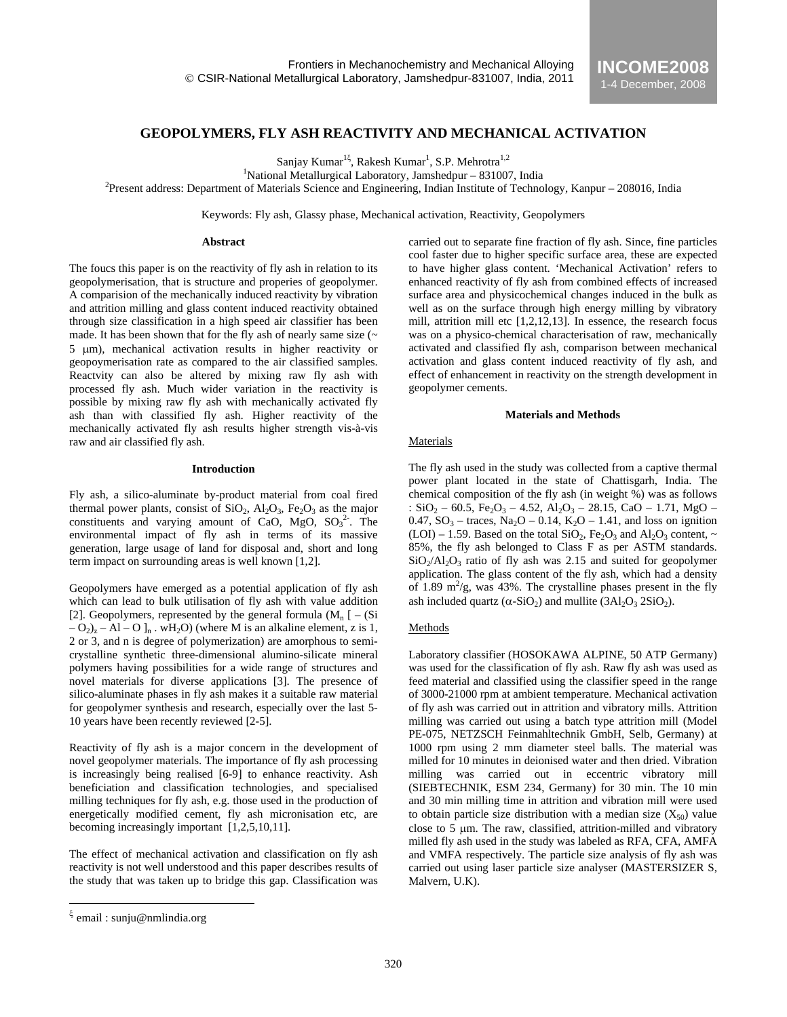# **GEOPOLYMERS, FLY ASH REACTIVITY AND MECHANICAL ACTIVATION**

Sanjay Kumar<sup>1ξ</sup>, Rakesh Kumar<sup>1</sup>, S.P. Mehrotra<sup>1,2</sup>

<sup>1</sup>National Metallurgical Laboratory, Jamshedpur – 831007, India<br><sup>2</sup>Dresset eddress: Department of Metariols Science and Engineering, Indian Institute of Technol

 $P$ Present address: Department of Materials Science and Engineering, Indian Institute of Technology, Kanpur – 208016, India

Keywords: Fly ash, Glassy phase, Mechanical activation, Reactivity, Geopolymers

### **Abstract**

The foucs this paper is on the reactivity of fly ash in relation to its geopolymerisation, that is structure and properies of geopolymer. A comparision of the mechanically induced reactivity by vibration and attrition milling and glass content induced reactivity obtained through size classification in a high speed air classifier has been made. It has been shown that for the fly ash of nearly same size  $(\sim$ 5 µm), mechanical activation results in higher reactivity or geopoymerisation rate as compared to the air classified samples. Reactvity can also be altered by mixing raw fly ash with processed fly ash. Much wider variation in the reactivity is possible by mixing raw fly ash with mechanically activated fly ash than with classified fly ash. Higher reactivity of the mechanically activated fly ash results higher strength vis-à-vis raw and air classified fly ash.

### **Introduction**

Fly ash, a silico-aluminate by-product material from coal fired thermal power plants, consist of  $SiO_2$ ,  $Al_2O_3$ ,  $Fe_2O_3$  as the major constituents and varying amount of CaO,  $MgO$ ,  $SO_3^2$ . The environmental impact of fly ash in terms of its massive generation, large usage of land for disposal and, short and long term impact on surrounding areas is well known [1,2].

Geopolymers have emerged as a potential application of fly ash which can lead to bulk utilisation of fly ash with value addition [2]. Geopolymers, represented by the general formula  $(M_n [ - (Si$  $-O_2$ <sub>z</sub> – Al – O ]<sub>n</sub>. wH<sub>2</sub>O) (where M is an alkaline element, z is 1, 2 or 3, and n is degree of polymerization) are amorphous to semicrystalline synthetic three-dimensional alumino-silicate mineral polymers having possibilities for a wide range of structures and novel materials for diverse applications [3]. The presence of silico-aluminate phases in fly ash makes it a suitable raw material for geopolymer synthesis and research, especially over the last 5- 10 years have been recently reviewed [2-5].

Reactivity of fly ash is a major concern in the development of novel geopolymer materials. The importance of fly ash processing is increasingly being realised [6-9] to enhance reactivity. Ash beneficiation and classification technologies, and specialised milling techniques for fly ash, e.g. those used in the production of energetically modified cement, fly ash micronisation etc, are becoming increasingly important [1,2,5,10,11].

The effect of mechanical activation and classification on fly ash reactivity is not well understood and this paper describes results of the study that was taken up to bridge this gap. Classification was

 $\overline{a}$ 

carried out to separate fine fraction of fly ash. Since, fine particles cool faster due to higher specific surface area, these are expected to have higher glass content. 'Mechanical Activation' refers to enhanced reactivity of fly ash from combined effects of increased surface area and physicochemical changes induced in the bulk as well as on the surface through high energy milling by vibratory mill, attrition mill etc  $[1,2,12,13]$ . In essence, the research focus was on a physico-chemical characterisation of raw, mechanically activated and classified fly ash, comparison between mechanical activation and glass content induced reactivity of fly ash, and effect of enhancement in reactivity on the strength development in geopolymer cements.

### **Materials and Methods**

#### Materials

The fly ash used in the study was collected from a captive thermal power plant located in the state of Chattisgarh, India. The chemical composition of the fly ash (in weight %) was as follows :  $SiO_2 - 60.5$ ,  $Fe_2O_3 - 4.52$ ,  $Al_2O_3 - 28.15$ , CaO – 1.71, MgO – 0.47,  $SO_3$  – traces,  $Na_2O - 0.14$ ,  $K_2O - 1.41$ , and loss on ignition  $(LOI) - 1.59$ . Based on the total  $SiO_2$ ,  $Fe_2O_3$  and  $Al_2O_3$  content,  $\sim$ 85%, the fly ash belonged to Class F as per ASTM standards.  $SiO<sub>2</sub>/Al<sub>2</sub>O<sub>3</sub>$  ratio of fly ash was 2.15 and suited for geopolymer application. The glass content of the fly ash, which had a density of 1.89  $\text{m}^2/\text{g}$ , was 43%. The crystalline phases present in the fly ash included quartz ( $\alpha$ -SiO<sub>2</sub>) and mullite (3Al<sub>2</sub>O<sub>3</sub> 2SiO<sub>2</sub>).

## Methods

Laboratory classifier (HOSOKAWA ALPINE, 50 ATP Germany) was used for the classification of fly ash. Raw fly ash was used as feed material and classified using the classifier speed in the range of 3000-21000 rpm at ambient temperature. Mechanical activation of fly ash was carried out in attrition and vibratory mills. Attrition milling was carried out using a batch type attrition mill (Model PE-075, NETZSCH Feinmahltechnik GmbH, Selb, Germany) at 1000 rpm using 2 mm diameter steel balls. The material was milled for 10 minutes in deionised water and then dried. Vibration milling was carried out in eccentric vibratory mill (SIEBTECHNIK, ESM 234, Germany) for 30 min. The 10 min and 30 min milling time in attrition and vibration mill were used to obtain particle size distribution with a median size  $(X_{50})$  value close to 5 µm. The raw, classified, attrition-milled and vibratory milled fly ash used in the study was labeled as RFA, CFA, AMFA and VMFA respectively. The particle size analysis of fly ash was carried out using laser particle size analyser (MASTERSIZER S, Malvern, U.K).

email: sunju@nmlindia.org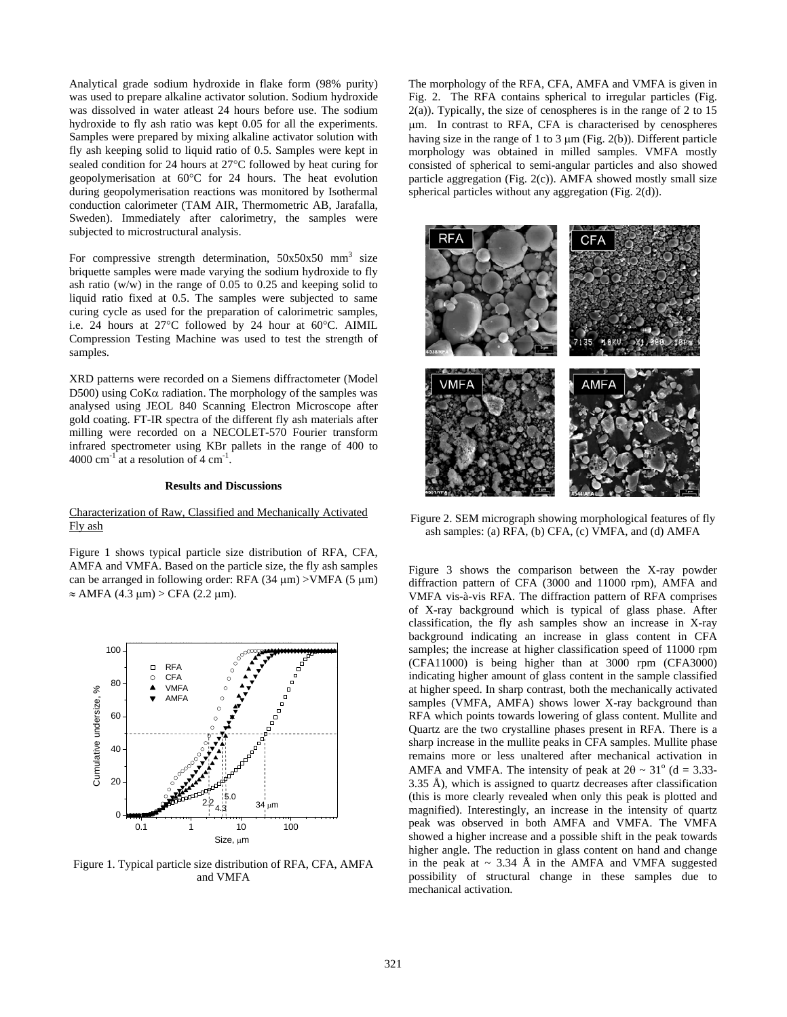Analytical grade sodium hydroxide in flake form (98% purity) was used to prepare alkaline activator solution. Sodium hydroxide was dissolved in water atleast 24 hours before use. The sodium hydroxide to fly ash ratio was kept 0.05 for all the experiments. Samples were prepared by mixing alkaline activator solution with fly ash keeping solid to liquid ratio of 0.5. Samples were kept in sealed condition for 24 hours at 27°C followed by heat curing for geopolymerisation at 60°C for 24 hours. The heat evolution during geopolymerisation reactions was monitored by Isothermal conduction calorimeter (TAM AIR, Thermometric AB, Jarafalla, Sweden). Immediately after calorimetry, the samples were subjected to microstructural analysis.

For compressive strength determination,  $50x50x50$  mm<sup>3</sup> size briquette samples were made varying the sodium hydroxide to fly ash ratio  $(w/w)$  in the range of 0.05 to 0.25 and keeping solid to liquid ratio fixed at 0.5. The samples were subjected to same curing cycle as used for the preparation of calorimetric samples, i.e. 24 hours at 27°C followed by 24 hour at 60°C. AIMIL Compression Testing Machine was used to test the strength of samples.

XRD patterns were recorded on a Siemens diffractometer (Model D500) using  $Cok\alpha$  radiation. The morphology of the samples was analysed using JEOL 840 Scanning Electron Microscope after gold coating. FT-IR spectra of the different fly ash materials after milling were recorded on a NECOLET-570 Fourier transform infrared spectrometer using KBr pallets in the range of 400 to 4000 cm $^{-1}$  at a resolution of 4 cm $^{-1}$ .

### **Results and Discussions**

### Characterization of Raw, Classified and Mechanically Activated Fly ash

Figure 1 shows typical particle size distribution of RFA, CFA, AMFA and VMFA. Based on the particle size, the fly ash samples can be arranged in following order: RFA  $(34 \mu m) >$ VMFA  $(5 \mu m)$  $\approx$  AMFA (4.3 µm) > CFA (2.2 µm).



Figure 1. Typical particle size distribution of RFA, CFA, AMFA and VMFA

The morphology of the RFA, CFA, AMFA and VMFA is given in Fig. 2. The RFA contains spherical to irregular particles (Fig.  $2(a)$ ). Typically, the size of cenospheres is in the range of 2 to 15 µm. In contrast to RFA, CFA is characterised by cenospheres having size in the range of 1 to 3  $\mu$ m (Fig. 2(b)). Different particle morphology was obtained in milled samples. VMFA mostly consisted of spherical to semi-angular particles and also showed particle aggregation (Fig. 2(c)). AMFA showed mostly small size spherical particles without any aggregation (Fig. 2(d)).



Figure 2. SEM micrograph showing morphological features of fly ash samples: (a) RFA, (b) CFA, (c) VMFA, and (d) AMFA

Figure 3 shows the comparison between the X-ray powder diffraction pattern of CFA (3000 and 11000 rpm), AMFA and VMFA vis-à-vis RFA. The diffraction pattern of RFA comprises of X-ray background which is typical of glass phase. After classification, the fly ash samples show an increase in X-ray background indicating an increase in glass content in CFA samples; the increase at higher classification speed of 11000 rpm (CFA11000) is being higher than at 3000 rpm (CFA3000) indicating higher amount of glass content in the sample classified at higher speed. In sharp contrast, both the mechanically activated samples (VMFA, AMFA) shows lower X-ray background than RFA which points towards lowering of glass content. Mullite and Quartz are the two crystalline phases present in RFA. There is a sharp increase in the mullite peaks in CFA samples. Mullite phase remains more or less unaltered after mechanical activation in AMFA and VMFA. The intensity of peak at  $2\theta \sim 31^\circ$  (d = 3.33-3.35 Å), which is assigned to quartz decreases after classification (this is more clearly revealed when only this peak is plotted and magnified). Interestingly, an increase in the intensity of quartz peak was observed in both AMFA and VMFA. The VMFA showed a higher increase and a possible shift in the peak towards higher angle. The reduction in glass content on hand and change in the peak at  $\sim$  3.34 Å in the AMFA and VMFA suggested possibility of structural change in these samples due to mechanical activation.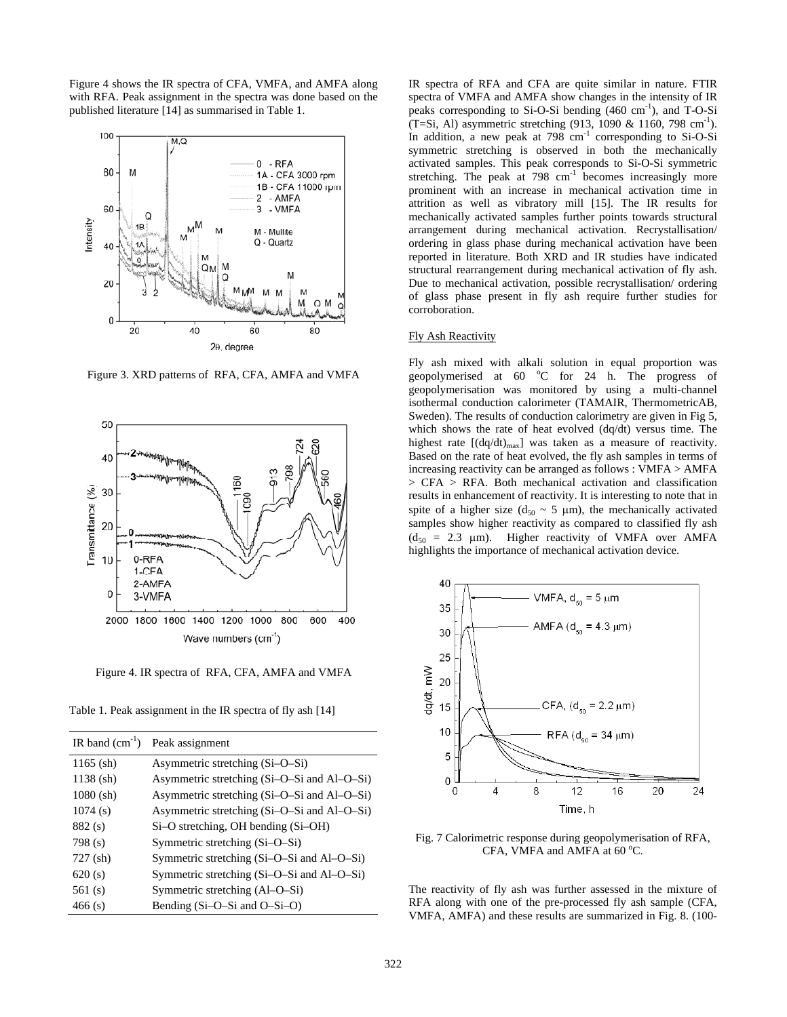Figure 4 shows the IR spectra of CFA, VMFA, and AMFA along with RFA. Peak assignment in the spectra was done based on the published literature [14] as summarised in Table 1.



Figure 3. XRD patterns of RFA, CFA, AMFA and VMFA



Figure 4. IR spectra of RFA, CFA, AMFA and VMFA

Table 1. Peak assignment in the IR spectra of fly ash [14]

| IR band $(cm^{-1})$ | Peak assignment                             |  |
|---------------------|---------------------------------------------|--|
| $1165$ (sh)         | Asymmetric stretching (Si-O-Si)             |  |
| $1138$ (sh)         | Asymmetric stretching (Si-O-Si and Al-O-Si) |  |
| $1080$ (sh)         | Asymmetric stretching (Si-O-Si and Al-O-Si) |  |
| 1074(s)             | Asymmetric stretching (Si-O-Si and Al-O-Si) |  |
| 882(s)              | $Si-O$ stretching, OH bending $(Si-OH)$     |  |
| 798(s)              | Symmetric stretching (Si-O-Si)              |  |
| $727$ (sh)          | Symmetric stretching (Si-O-Si and Al-O-Si)  |  |
| 620(s)              | Symmetric stretching (Si-O-Si and Al-O-Si)  |  |
| 561 $(s)$           | Symmetric stretching (Al-O-Si)              |  |
| 466(s)              | Bending $(Si-O-Si$ and $O-Si-O$             |  |

IR spectra of RFA and CFA are quite similar in nature. FTIR spectra of VMFA and AMFA show changes in the intensity of IR peaks corresponding to Si-O-Si bending  $(460 \text{ cm}^{-1})$ , and T-O-Si (T=Si, Al) asymmetric stretching (913, 1090 & 1160, 798 cm<sup>-1</sup>). In addition, a new peak at  $798 \text{ cm}^{-1}$  corresponding to Si-O-Si symmetric stretching is observed in both the mechanically activated samples. This peak corresponds to Si-O-Si symmetric stretching. The peak at 798 cm<sup>-1</sup> becomes increasingly more prominent with an increase in mechanical activation time in attrition as well as vibratory mill [15]. The IR results for mechanically activated samples further points towards structural arrangement during mechanical activation. Recrystallisation/ ordering in glass phase during mechanical activation have been reported in literature. Both XRD and IR studies have indicated structural rearrangement during mechanical activation of fly ash. Due to mechanical activation, possible recrystallisation/ ordering of glass phase present in fly ash require further studies for corroboration.

### Fly Ash Reactivity

Fly ash mixed with alkali solution in equal proportion was geopolymerised at  $60^\circ\text{C}$  for  $24^\circ\text{h}$ . The progress of geopolymerisation was monitored by using a multi-channel isothermal conduction calorimeter (TAMAIR, ThermometricAB, Sweden). The results of conduction calorimetry are given in Fig 5, which shows the rate of heat evolved (dq/dt) versus time. The highest rate  $[(dq/dt)_{max}]$  was taken as a measure of reactivity. Based on the rate of heat evolved, the fly ash samples in terms of increasing reactivity can be arranged as follows : VMFA > AMFA > CFA > RFA. Both mechanical activation and classification results in enhancement of reactivity. It is interesting to note that in spite of a higher size ( $d_{50} \sim 5 \mu m$ ), the mechanically activated samples show higher reactivity as compared to classified fly ash  $(d_{50} = 2.3 \mu m)$ . Higher reactivity of VMFA over AMFA highlights the importance of mechanical activation device.



Fig. 7 Calorimetric response during geopolymerisation of RFA, CFA, VMFA and AMFA at  $60^{\circ}$ C.

The reactivity of fly ash was further assessed in the mixture of RFA along with one of the pre-processed fly ash sample (CFA, VMFA, AMFA) and these results are summarized in Fig. 8. (100